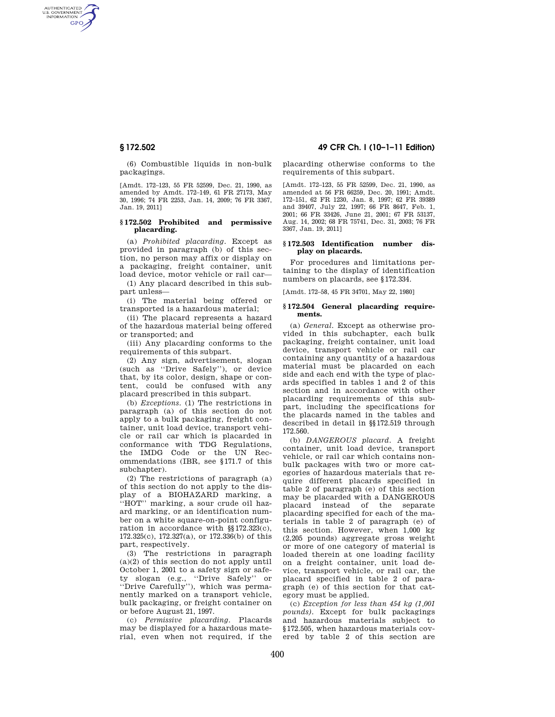AUTHENTICATED<br>U.S. GOVERNMENT<br>INFORMATION **GPO** 

> (6) Combustible liquids in non-bulk packagings.

> [Amdt. 172–123, 55 FR 52599, Dec. 21, 1990, as amended by Amdt. 172–149, 61 FR 27173, May 30, 1996; 74 FR 2253, Jan. 14, 2009; 76 FR 3367, Jan. 19, 2011]

## **§ 172.502 Prohibited and permissive placarding.**

(a) *Prohibited placarding.* Except as provided in paragraph (b) of this section, no person may affix or display on a packaging, freight container, unit load device, motor vehicle or rail car—

(1) Any placard described in this subpart unless—

(i) The material being offered or transported is a hazardous material;

(ii) The placard represents a hazard of the hazardous material being offered or transported; and

(iii) Any placarding conforms to the requirements of this subpart.

(2) Any sign, advertisement, slogan (such as ''Drive Safely''), or device that, by its color, design, shape or content, could be confused with any placard prescribed in this subpart.

(b) *Exceptions.* (1) The restrictions in paragraph (a) of this section do not apply to a bulk packaging, freight container, unit load device, transport vehicle or rail car which is placarded in conformance with TDG Regulations, the IMDG Code or the UN Recommendations (IBR, see §171.7 of this subchapter).

(2) The restrictions of paragraph (a) of this section do not apply to the display of a BIOHAZARD marking, a ''HOT'' marking, a sour crude oil hazard marking, or an identification number on a white square-on-point configuration in accordance with §§172.323(c), 172.325(c), 172.327(a), or 172.336(b) of this part, respectively.

(3) The restrictions in paragraph  $(a)(2)$  of this section do not apply until October 1, 2001 to a safety sign or safety slogan (e.g., ''Drive Safely'' or ''Drive Carefully''), which was permanently marked on a transport vehicle, bulk packaging, or freight container on or before August 21, 1997.

(c) *Permissive placarding.* Placards may be displayed for a hazardous material, even when not required, if the

**§ 172.502 49 CFR Ch. I (10–1–11 Edition)** 

placarding otherwise conforms to the requirements of this subpart.

[Amdt. 172–123, 55 FR 52599, Dec. 21, 1990, as amended at 56 FR 66259, Dec. 20, 1991; Amdt. 172–151, 62 FR 1230, Jan. 8, 1997; 62 FR 39389 and 39407, July 22, 1997; 66 FR 8647, Feb. 1, 2001; 66 FR 33426, June 21, 2001; 67 FR 53137, Aug. 14, 2002; 68 FR 75741, Dec. 31, 2003; 76 FR 3367, Jan. 19, 2011]

#### **§ 172.503 Identification number display on placards.**

For procedures and limitations pertaining to the display of identification numbers on placards, see §172.334.

[Amdt. 172–58, 45 FR 34701, May 22, 1980]

#### **§ 172.504 General placarding requirements.**

(a) *General.* Except as otherwise provided in this subchapter, each bulk packaging, freight container, unit load device, transport vehicle or rail car containing any quantity of a hazardous material must be placarded on each side and each end with the type of placards specified in tables 1 and 2 of this section and in accordance with other placarding requirements of this subpart, including the specifications for the placards named in the tables and described in detail in §§172.519 through 172.560.

(b) *DANGEROUS placard.* A freight container, unit load device, transport vehicle, or rail car which contains nonbulk packages with two or more categories of hazardous materials that require different placards specified in table 2 of paragraph (e) of this section may be placarded with a DANGEROUS placard instead of the separate placarding specified for each of the materials in table 2 of paragraph (e) of this section. However, when 1,000 kg (2,205 pounds) aggregate gross weight or more of one category of material is loaded therein at one loading facility on a freight container, unit load device, transport vehicle, or rail car, the placard specified in table 2 of paragraph (e) of this section for that category must be applied.

(c) *Exception for less than 454 kg (1,001 pounds).* Except for bulk packagings and hazardous materials subject to §172.505, when hazardous materials covered by table 2 of this section are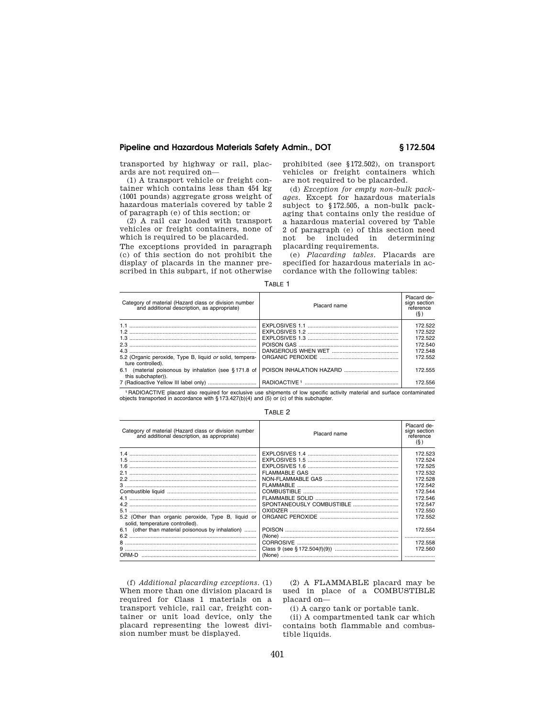# **Pipeline and Hazardous Materials Safety Admin., DOT § 172.504**

transported by highway or rail, placards are not required on—

(1) A transport vehicle or freight container which contains less than 454 kg (1001 pounds) aggregate gross weight of hazardous materials covered by table 2 of paragraph (e) of this section; or

(2) A rail car loaded with transport vehicles or freight containers, none of which is required to be placarded.

The exceptions provided in paragraph (c) of this section do not prohibit the display of placards in the manner prescribed in this subpart, if not otherwise prohibited (see §172.502), on transport vehicles or freight containers which are not required to be placarded.

(d) *Exception for empty non-bulk packages.* Except for hazardous materials subject to §172.505, a non-bulk packaging that contains only the residue of a hazardous material covered by Table 2 of paragraph (e) of this section need not be included in determining placarding requirements.

(e) *Placarding tables.* Placards are specified for hazardous materials in accordance with the following tables:

| L<br>۱Γ<br>ונ |
|---------------|
|---------------|

| Category of material (Hazard class or division number<br>and additional description, as appropriate) | Placard name | Placard de-<br>sign section<br>reference<br>$(\S)$ |
|------------------------------------------------------------------------------------------------------|--------------|----------------------------------------------------|
|                                                                                                      |              | 172.522                                            |
|                                                                                                      |              | 172.522                                            |
|                                                                                                      |              | 172.522                                            |
|                                                                                                      |              | 172.540                                            |
| 43                                                                                                   |              | 172.548                                            |
| 5.2 (Organic peroxide, Type B, liquid or solid, tempera-<br>ture controlled).                        |              | 172.552                                            |
| 6.1 (material poisonous by inhalation (see §171.8 of<br>this subchapter)).                           |              | 172.555                                            |
|                                                                                                      |              | 172.556                                            |

1 RADIOACTIVE placard also required for exclusive use shipments of low specific activity material and surface contaminated objects transported in accordance with § 173.427(b)(4) and (5) or (c) of this subchapter.

#### TABLE 2

| Category of material (Hazard class or division number<br>and additional description, as appropriate) | Placard name | Placard de-<br>sign section<br>reference<br>$(\S)$ |
|------------------------------------------------------------------------------------------------------|--------------|----------------------------------------------------|
|                                                                                                      |              | 172.523                                            |
|                                                                                                      |              | 172.524                                            |
|                                                                                                      |              | 172.525                                            |
|                                                                                                      |              | 172.532                                            |
|                                                                                                      |              | 172.528                                            |
|                                                                                                      |              | 172.542                                            |
|                                                                                                      |              | 172.544                                            |
|                                                                                                      |              | 172.546                                            |
|                                                                                                      |              | 172.547                                            |
|                                                                                                      |              | 172.550                                            |
| 5.2 (Other than organic peroxide, Type B, liquid or<br>solid, temperature controlled).               |              | 172.552                                            |
| 6.1 (other than material poisonous by inhalation)                                                    |              | 172.554                                            |
|                                                                                                      |              |                                                    |
|                                                                                                      |              | 172.558                                            |
|                                                                                                      |              | 172.560                                            |
| ORM-D                                                                                                |              |                                                    |

(f) *Additional placarding exceptions.* (1) When more than one division placard is required for Class 1 materials on a transport vehicle, rail car, freight container or unit load device, only the placard representing the lowest division number must be displayed.

(2) A FLAMMABLE placard may be used in place of a COMBUSTIBLE placard on—

(i) A cargo tank or portable tank.

(ii) A compartmented tank car which contains both flammable and combustible liquids.